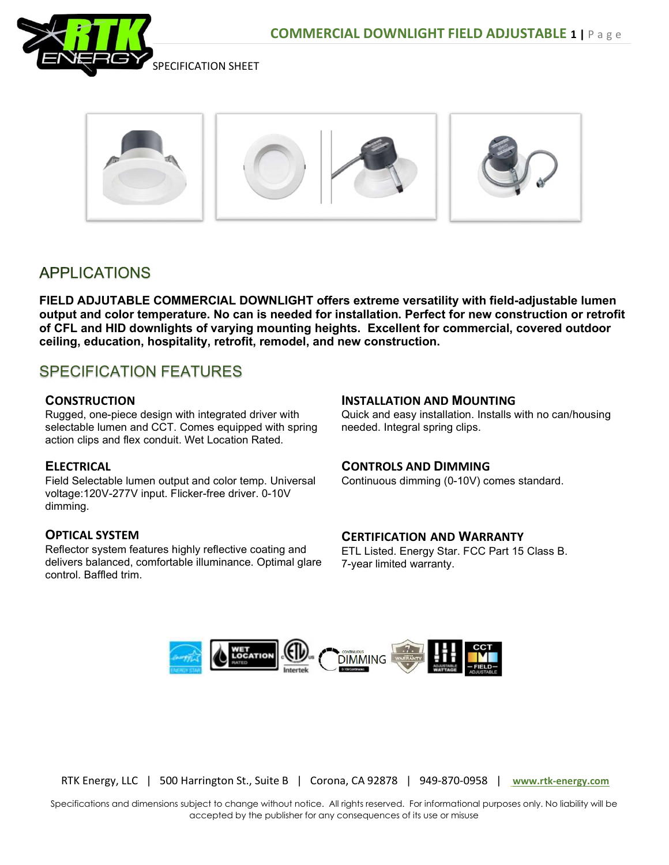



## **APPLICATIONS**

FIELD ADJUTABLE COMMERCIAL DOWNLIGHT offers extreme versatility with field-adjustable lumen output and color temperature. No can is needed for installation. Perfect for new construction or retrofit of CFL and HID downlights of varying mounting heights. Excellent for commercial, covered outdoor ceiling, education, hospitality, retrofit, remodel, and new construction.

# SPECIFICATION FEATURES

### **CONSTRUCTION**

Rugged, one-piece design with integrated driver with selectable lumen and CCT. Comes equipped with spring action clips and flex conduit. Wet Location Rated.

## **ELECTRICAL**

Field Selectable lumen output and color temp. Universal voltage:120V-277V input. Flicker-free driver. 0-10V dimming.

## OPTICAL SYSTEM

Reflector system features highly reflective coating and delivers balanced, comfortable illuminance. Optimal glare control. Baffled trim.

#### INSTALLATION AND MOUNTING

Quick and easy installation. Installs with no can/housing needed. Integral spring clips.

#### CONTROLS AND DIMMING

Continuous dimming (0-10V) comes standard.

## CERTIFICATION AND WARRANTY

ETL Listed. Energy Star. FCC Part 15 Class B. 7-year limited warranty.



RTK Energy, LLC | 500 Harrington St., Suite B | Corona, CA 92878 | 949-870-0958 | www.rtk-energy.com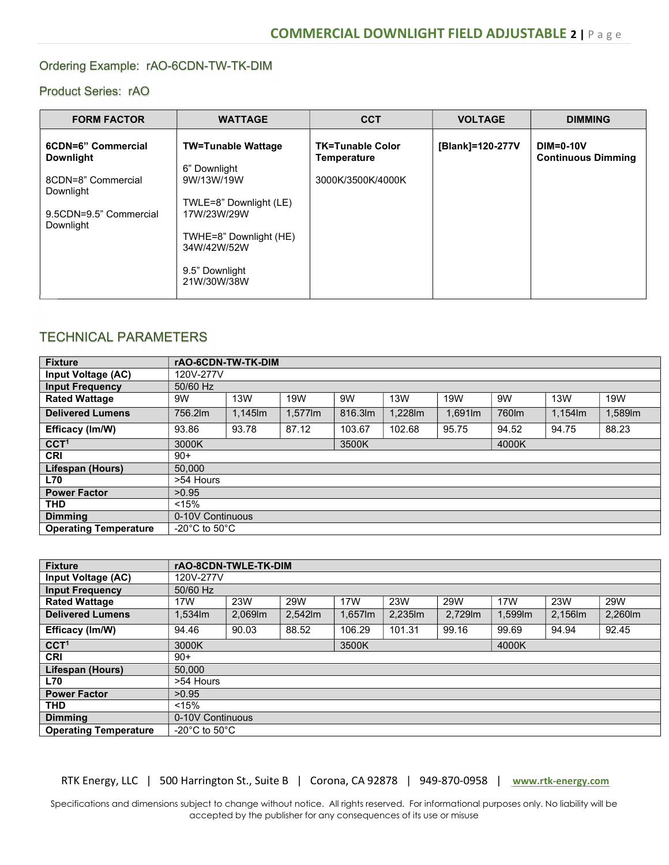#### Ordering Example: rAO-6CDN-TW-TK-DIM

### Product Series: rAO

| <b>FORM FACTOR</b>                                                                                               | <b>WATTAGE</b>                                                                                                                                                             | <b>CCT</b>                                                  | <b>VOLTAGE</b>   | <b>DIMMING</b>                                |
|------------------------------------------------------------------------------------------------------------------|----------------------------------------------------------------------------------------------------------------------------------------------------------------------------|-------------------------------------------------------------|------------------|-----------------------------------------------|
| 6CDN=6" Commercial<br><b>Downlight</b><br>8CDN=8" Commercial<br>Downlight<br>9.5CDN=9.5" Commercial<br>Downlight | <b>TW=Tunable Wattage</b><br>6" Downlight<br>9W/13W/19W<br>TWLE=8" Downlight (LE)<br>17W/23W/29W<br>TWHE=8" Downlight (HE)<br>34W/42W/52W<br>9.5" Downlight<br>21W/30W/38W | <b>TK=Tunable Color</b><br>Temperature<br>3000K/3500K/4000K | [Blank]=120-277V | <b>DIM=0-10V</b><br><b>Continuous Dimming</b> |

## TECHNICAL PARAMETERS

| <b>Fixture</b>               | rAO-6CDN-TW-TK-DIM                  |         |         |        |            |         |       |         |         |
|------------------------------|-------------------------------------|---------|---------|--------|------------|---------|-------|---------|---------|
| Input Voltage (AC)           | 120V-277V                           |         |         |        |            |         |       |         |         |
| <b>Input Frequency</b>       | 50/60 Hz                            |         |         |        |            |         |       |         |         |
| <b>Rated Wattage</b>         | 9W                                  | 13W     | 19W     | 9W     | <b>13W</b> | 19W     | 9W    | 13W     | 19W     |
| <b>Delivered Lumens</b>      | 756.2lm                             | 1,145lm | 1,577lm | 816.3m | 1,228lm    | 1.691lm | 760lm | 1,154lm | 1,589lm |
| Efficacy (Im/W)              | 93.86                               | 93.78   | 87.12   | 103.67 | 102.68     | 95.75   | 94.52 | 94.75   | 88.23   |
| CCT <sup>1</sup>             | 3000K                               |         |         | 3500K  |            |         | 4000K |         |         |
| <b>CRI</b>                   | $90+$                               |         |         |        |            |         |       |         |         |
| Lifespan (Hours)             | 50.000                              |         |         |        |            |         |       |         |         |
| <b>L70</b>                   | >54 Hours                           |         |         |        |            |         |       |         |         |
| <b>Power Factor</b>          | >0.95                               |         |         |        |            |         |       |         |         |
| <b>THD</b>                   | < 15%                               |         |         |        |            |         |       |         |         |
| <b>Dimming</b>               | 0-10V Continuous                    |         |         |        |            |         |       |         |         |
| <b>Operating Temperature</b> | -20 $^{\circ}$ C to 50 $^{\circ}$ C |         |         |        |            |         |       |         |         |

| <b>Fixture</b>               | rAO-8CDN-TWLE-TK-DIM              |        |         |         |         |         |         |        |            |  |
|------------------------------|-----------------------------------|--------|---------|---------|---------|---------|---------|--------|------------|--|
| Input Voltage (AC)           | 120V-277V                         |        |         |         |         |         |         |        |            |  |
| <b>Input Frequency</b>       | 50/60 Hz                          |        |         |         |         |         |         |        |            |  |
| <b>Rated Wattage</b>         | 17W                               | 23W    | 29W     | 17W     | 23W     | 29W     | 17W     | 23W    | <b>29W</b> |  |
| <b>Delivered Lumens</b>      | $1.534$ lm                        | 2,069m | 2,542lm | 1,657lm | 2,235lm | 2,729lm | 1,599lm | 2,156m | 2,260lm    |  |
| Efficacy (Im/W)              | 94.46                             | 90.03  | 88.52   | 106.29  | 101.31  | 99.16   | 99.69   | 94.94  | 92.45      |  |
| CCT <sup>1</sup>             | 3000K                             |        |         | 3500K   |         |         |         | 4000K  |            |  |
| <b>CRI</b>                   | $90+$                             |        |         |         |         |         |         |        |            |  |
| Lifespan (Hours)             | 50,000                            |        |         |         |         |         |         |        |            |  |
| <b>L70</b>                   | >54 Hours                         |        |         |         |         |         |         |        |            |  |
| <b>Power Factor</b>          | >0.95                             |        |         |         |         |         |         |        |            |  |
| <b>THD</b>                   | < 15%                             |        |         |         |         |         |         |        |            |  |
| <b>Dimming</b>               | 0-10V Continuous                  |        |         |         |         |         |         |        |            |  |
| <b>Operating Temperature</b> | $-20^{\circ}$ C to $50^{\circ}$ C |        |         |         |         |         |         |        |            |  |

RTK Energy, LLC | 500 Harrington St., Suite B | Corona, CA 92878 | 949-870-0958 | www.rtk-energy.com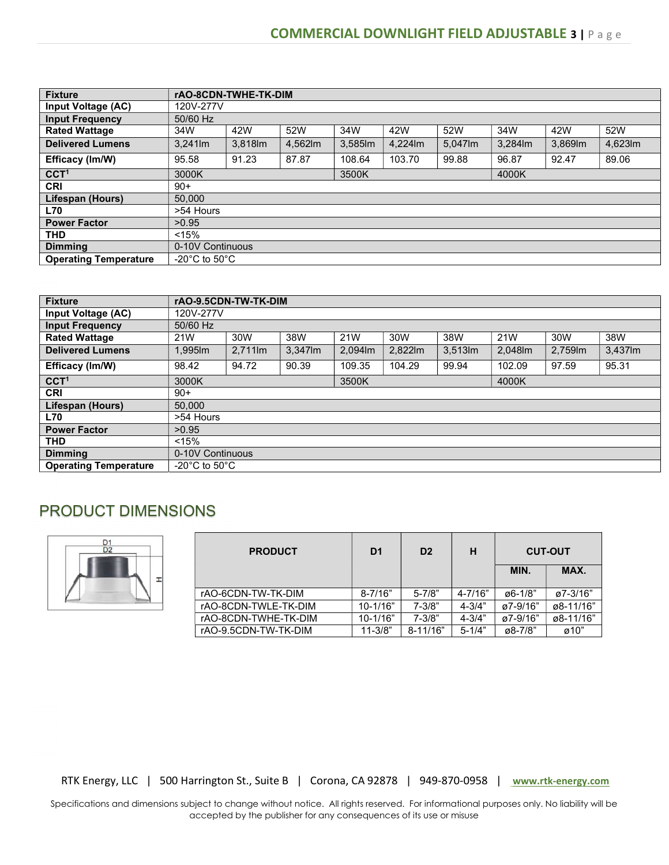| <b>Fixture</b>               | rAO-8CDN-TWHE-TK-DIM                |         |        |         |         |         |        |        |        |
|------------------------------|-------------------------------------|---------|--------|---------|---------|---------|--------|--------|--------|
| Input Voltage (AC)           | 120V-277V                           |         |        |         |         |         |        |        |        |
| <b>Input Frequency</b>       | 50/60 Hz                            |         |        |         |         |         |        |        |        |
| <b>Rated Wattage</b>         | 34W                                 | 42W     | 52W    | 34W     | 42W     | 52W     | 34W    | 42W    | 52W    |
| <b>Delivered Lumens</b>      | 3,241lm                             | 3,818lm | 4,562m | 3,585lm | 4,224lm | 5,047lm | 3,284m | 3,869m | 4,623m |
| Efficacy (Im/W)              | 95.58                               | 91.23   | 87.87  | 108.64  | 103.70  | 99.88   | 96.87  | 92.47  | 89.06  |
| CCT <sup>1</sup>             | 3000K                               |         |        | 3500K   |         |         | 4000K  |        |        |
| <b>CRI</b>                   | $90+$                               |         |        |         |         |         |        |        |        |
| Lifespan (Hours)             | 50.000                              |         |        |         |         |         |        |        |        |
| <b>L70</b>                   | >54 Hours                           |         |        |         |         |         |        |        |        |
| <b>Power Factor</b>          | >0.95                               |         |        |         |         |         |        |        |        |
| <b>THD</b>                   | < 15%                               |         |        |         |         |         |        |        |        |
| <b>Dimmina</b>               | 0-10V Continuous                    |         |        |         |         |         |        |        |        |
| <b>Operating Temperature</b> | -20 $^{\circ}$ C to 50 $^{\circ}$ C |         |        |         |         |         |        |        |        |

| <b>Fixture</b>               | rAO-9.5CDN-TW-TK-DIM |            |         |        |         |            |         |        |         |  |
|------------------------------|----------------------|------------|---------|--------|---------|------------|---------|--------|---------|--|
| Input Voltage (AC)           | 120V-277V            |            |         |        |         |            |         |        |         |  |
| <b>Input Frequency</b>       | 50/60 Hz             |            |         |        |         |            |         |        |         |  |
| <b>Rated Wattage</b>         | 21W                  | 30W        | 38W     | 21W    | 30W     | 38W        | 21W     | 30W    | 38W     |  |
| <b>Delivered Lumens</b>      | 1,995lm              | $2,711$ lm | 3,347lm | 2,094m | 2,822lm | $3,513$ lm | 2,048lm | 2,759m | 3,437lm |  |
| Efficacy (Im/W)              | 98.42                | 94.72      | 90.39   | 109.35 | 104.29  | 99.94      | 102.09  | 97.59  | 95.31   |  |
| CCT <sup>1</sup>             | 3000K                |            |         | 3500K  |         |            |         | 4000K  |         |  |
| <b>CRI</b>                   | $90+$                |            |         |        |         |            |         |        |         |  |
| Lifespan (Hours)             | 50.000               |            |         |        |         |            |         |        |         |  |
| <b>L70</b>                   | >54 Hours            |            |         |        |         |            |         |        |         |  |
| <b>Power Factor</b>          | >0.95                |            |         |        |         |            |         |        |         |  |
| <b>THD</b>                   | < 15%                |            |         |        |         |            |         |        |         |  |
| <b>Dimming</b>               | 0-10V Continuous     |            |         |        |         |            |         |        |         |  |
| <b>Operating Temperature</b> | -20°C to 50°C.       |            |         |        |         |            |         |        |         |  |

## PRODUCT DIMENSIONS



| <b>PRODUCT</b>       | D <sub>1</sub> | D <sub>2</sub> | н          |                 | <b>CUT-OUT</b>   |
|----------------------|----------------|----------------|------------|-----------------|------------------|
|                      |                |                |            | MIN.            | MAX.             |
| rAO-6CDN-TW-TK-DIM   | $8 - 7/16"$    | $5 - 7/8"$     | 4-7/16"    | $\alpha$ 6-1/8" | $\alpha$ 7-3/16" |
| rAO-8CDN-TWLE-TK-DIM | $10 - 1/16"$   | $7 - 3/8"$     | $4 - 3/4"$ | ø7-9/16"        | ø8-11/16"        |
| rAO-8CDN-TWHE-TK-DIM | $10 - 1/16"$   | $7 - 3/8"$     | $4 - 3/4"$ | ø7-9/16"        | ø8-11/16"        |
| rAO-9.5CDN-TW-TK-DIM | $11 - 3/8"$    | $8 - 11/16"$   | $5 - 1/4"$ | $\alpha$ 8-7/8" | $\varphi$ 10"    |

RTK Energy, LLC | 500 Harrington St., Suite B | Corona, CA 92878 | 949-870-0958 | www.rtk-energy.com